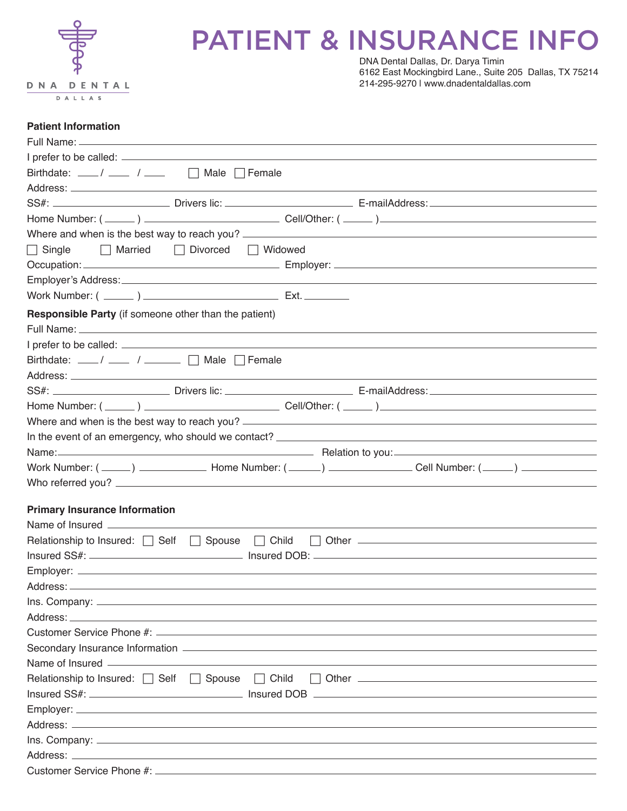

## PATIENT & INSURANCE INFO

DNA Dental Dallas, Dr. Darya Timin 6162 East Mockingbird Lane., Suite 205 Dallas, TX 75214 214-295-9270 | www.dnadentaldallas.com

#### **Patient Information**

| Birthdate: $\frac{1}{\sqrt{2}}$ / $\frac{1}{\sqrt{2}}$ Male $\sqrt{2}$ Female                                                                                                                                                        |  |
|--------------------------------------------------------------------------------------------------------------------------------------------------------------------------------------------------------------------------------------|--|
|                                                                                                                                                                                                                                      |  |
|                                                                                                                                                                                                                                      |  |
|                                                                                                                                                                                                                                      |  |
| Where and when is the best way to reach you?                                                                                                                                                                                         |  |
| $\Box$ Married<br>□ Divorced □ Widowed<br>$\Box$ Single                                                                                                                                                                              |  |
|                                                                                                                                                                                                                                      |  |
|                                                                                                                                                                                                                                      |  |
|                                                                                                                                                                                                                                      |  |
| <b>Responsible Party</b> (if someone other than the patient)                                                                                                                                                                         |  |
|                                                                                                                                                                                                                                      |  |
|                                                                                                                                                                                                                                      |  |
| Birthdate: ___/ ___ / ____ ∩ Male ∩ Female                                                                                                                                                                                           |  |
|                                                                                                                                                                                                                                      |  |
|                                                                                                                                                                                                                                      |  |
|                                                                                                                                                                                                                                      |  |
|                                                                                                                                                                                                                                      |  |
|                                                                                                                                                                                                                                      |  |
| Name: Name: Name: Name: Name: Name: Name: Name: Name: Name: Name: Name: Name: Name: Name: Name: Name: Name: Name: Name: Name: Name: Name: Name: Name: Name: Name: Name: Name: Name: Name: Name: Name: Name: Name: Name: Name:        |  |
|                                                                                                                                                                                                                                      |  |
|                                                                                                                                                                                                                                      |  |
|                                                                                                                                                                                                                                      |  |
| <b>Primary Insurance Information</b>                                                                                                                                                                                                 |  |
|                                                                                                                                                                                                                                      |  |
| Relationship to Insured: $\Box$ Self $\Box$ Spouse<br>$\Box$ Child                                                                                                                                                                   |  |
|                                                                                                                                                                                                                                      |  |
|                                                                                                                                                                                                                                      |  |
|                                                                                                                                                                                                                                      |  |
|                                                                                                                                                                                                                                      |  |
|                                                                                                                                                                                                                                      |  |
|                                                                                                                                                                                                                                      |  |
| Name of Insured <b>All According to the Contract of According to the Contract of According to the Contract of According to the Contract of According to the Contract of According to the Contract of According to the Contract o</b> |  |
|                                                                                                                                                                                                                                      |  |
| Relationship to Insured: Self Spouse Child                                                                                                                                                                                           |  |
|                                                                                                                                                                                                                                      |  |
|                                                                                                                                                                                                                                      |  |
|                                                                                                                                                                                                                                      |  |
|                                                                                                                                                                                                                                      |  |
|                                                                                                                                                                                                                                      |  |
|                                                                                                                                                                                                                                      |  |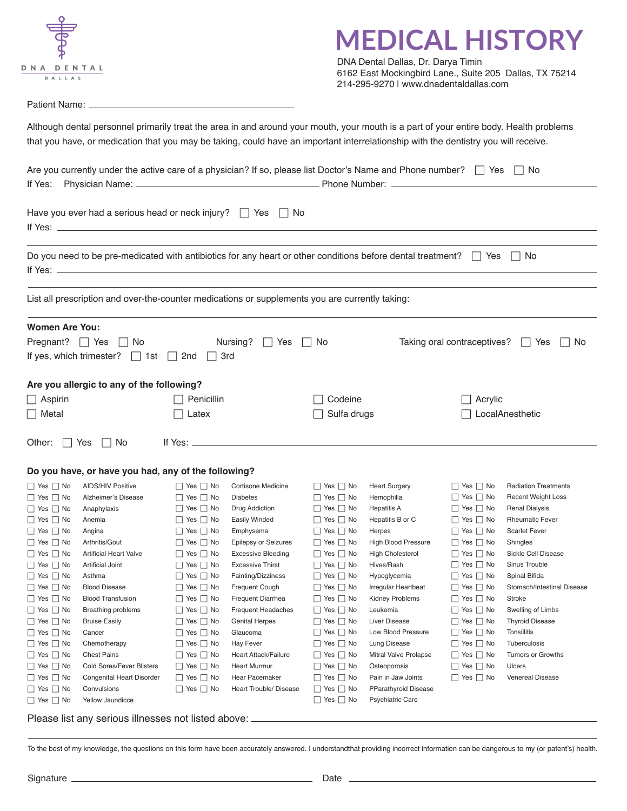|  | DNA DENTAL |  |  |  |
|--|------------|--|--|--|
|  | DALLAS     |  |  |  |

### **MEDICAL HISTORY**

DNA Dental Dallas, Dr. Darya Timin 6162 East Mockingbird Lane., Suite 205 Dallas, TX 75214 214-295-9270 | www.dnadentaldallas.com

Patient Name: \_

Although dental personnel primarily treat the area in and around your mouth, your mouth is a part of your entire body. Health problems that you have, or medication that you may be taking, could have an important interrelationship with the dentistry you will receive.

| If Yes:                                      | Are you currently under the active care of a physician? If so, please list Doctor's Name and Phone number? \rightarrow |                                              |                                                          |                                              |                                                |                                              | No.                                            |  |
|----------------------------------------------|------------------------------------------------------------------------------------------------------------------------|----------------------------------------------|----------------------------------------------------------|----------------------------------------------|------------------------------------------------|----------------------------------------------|------------------------------------------------|--|
|                                              | Have you ever had a serious head or neck injury? $\Box$ Yes $\Box$ No                                                  |                                              |                                                          |                                              |                                                |                                              |                                                |  |
|                                              |                                                                                                                        |                                              |                                                          |                                              |                                                |                                              |                                                |  |
|                                              | Do you need to be pre-medicated with antibiotics for any heart or other conditions before dental treatment? $\Box$ Yes |                                              |                                                          |                                              |                                                |                                              | $ $   No                                       |  |
|                                              | List all prescription and over-the-counter medications or supplements you are currently taking:                        |                                              |                                                          |                                              |                                                |                                              |                                                |  |
| <b>Women Are You:</b>                        |                                                                                                                        |                                              |                                                          |                                              |                                                |                                              |                                                |  |
| Pregnant? $\Box$ Yes                         | <b>No</b><br>If yes, which trimester? $\Box$ 1st $\Box$                                                                | 2nd                                          | Nursing?<br>Yes<br>3rd                                   | No                                           |                                                | Taking oral contraceptives?                  | Yes<br>No                                      |  |
|                                              | Are you allergic to any of the following?                                                                              |                                              |                                                          |                                              |                                                |                                              |                                                |  |
| $\Box$ Aspirin                               |                                                                                                                        | Penicillin                                   |                                                          | Codeine                                      |                                                | Acrylic                                      |                                                |  |
| □ Metal                                      |                                                                                                                        | Latex                                        |                                                          | Sulfa drugs                                  |                                                | LocalAnesthetic                              |                                                |  |
| Other: $ $   Yes                             | l I No                                                                                                                 | If Yes: $\equiv$                             |                                                          |                                              |                                                |                                              |                                                |  |
|                                              | Do you have, or have you had, any of the following?                                                                    |                                              |                                                          |                                              |                                                |                                              |                                                |  |
| $\Box$ Yes $\Box$ No                         | <b>AIDS/HIV Positive</b>                                                                                               | $\Box$ Yes $\Box$ No                         | Cortisone Medicine                                       | $\Box$ Yes $\Box$ No                         | <b>Heart Surgery</b>                           | $\Box$ Yes $\Box$ No                         | <b>Radiation Treatments</b>                    |  |
| $\Box$ Yes $\Box$ No                         | Alzheimer's Disease                                                                                                    | $\Box$ Yes $\Box$ No                         | <b>Diabetes</b>                                          | $\Box$ Yes $\Box$ No                         | Hemophilia                                     | $\Box$ Yes $\Box$ No                         | <b>Recent Weight Loss</b>                      |  |
| $\Box$ Yes $\Box$ No                         | Anaphylaxis                                                                                                            | $\Box$ Yes $\Box$ No                         | Drug Addiction                                           | $\Box$ Yes $\Box$ No                         | <b>Hepatitis A</b>                             | $\Box$ Yes $\Box$ No                         | <b>Renal Dialysis</b>                          |  |
| $\Box$ Yes $\Box$ No                         | Anemia                                                                                                                 | $\Box$ Yes $\Box$ No                         | <b>Easily Winded</b>                                     | $\Box$ Yes $\Box$ No                         | Hepatitis B or C                               | $\Box$ Yes $\Box$ No                         | <b>Rheumatic Fever</b><br><b>Scarlet Fever</b> |  |
| $\Box$ Yes $\Box$ No                         | Angina                                                                                                                 | $\Box$ Yes $\Box$ No                         | Emphysema                                                | $\Box$ Yes $\Box$ No                         | Herpes                                         | $\Box$ Yes $\Box$ No                         |                                                |  |
| $\Box$ Yes $\Box$ No                         | Arthritis/Gout<br><b>Artificial Heart Valve</b>                                                                        | $\Box$ Yes $\Box$ No                         | <b>Epilepsy or Seizures</b><br><b>Excessive Bleeding</b> | $\Box$ Yes $\Box$ No<br>$\Box$ Yes $\Box$ No | High Blood Pressure<br><b>High Cholesterol</b> | $\Box$ Yes $\Box$ No<br>$\Box$ Yes $\Box$ No | Shingles<br>Sickle Cell Disease                |  |
| $\Box$ Yes $\Box$ No<br>$\Box$ Yes $\Box$ No | <b>Artificial Joint</b>                                                                                                | $\Box$ Yes $\Box$ No<br>$\Box$ Yes $\Box$ No | <b>Excessive Thirst</b>                                  | $\Box$ Yes $\Box$ No                         | Hives/Rash                                     | $\Box$ Yes $\Box$ No                         | Sinus Trouble                                  |  |
| $\Box$ Yes $\Box$ No                         | Asthma                                                                                                                 | $\Box$ Yes $\Box$ No                         | Fainting/Dizziness                                       | $\Box$ Yes $\Box$ No                         | Hypoglycemia                                   | $\Box$ Yes $\Box$ No                         | Spinal Bifida                                  |  |
| $\Box$ Yes $\Box$ No                         | <b>Blood Disease</b>                                                                                                   | $\Box$ Yes $\Box$ No                         | Frequent Cough                                           | $\Box$ Yes $\Box$ No                         | Irregular Heartbeat                            | $\Box$ Yes $\Box$ No                         | Stomach/Intestinal Disease                     |  |
| $\Box$ Yes $\Box$ No                         | <b>Blood Transfusion</b>                                                                                               | $\Box$ Yes $\Box$ No                         | Frequent Diarrhea                                        | $\Box$ Yes $\Box$ No                         | Kidney Problems                                | $\Box$ Yes $\Box$ No                         | <b>Stroke</b>                                  |  |
| $\hfill\Box$<br>Yes $\hfill\Box$<br>No       | <b>Breathing problems</b>                                                                                              | $\Box$ Yes $\Box$ No                         | <b>Frequent Headaches</b>                                | $\Box$ Yes $\Box$ No                         | Leukemia                                       | $\Box$ Yes $\Box$ No                         | Swelling of Limbs                              |  |
| $\Box$ Yes $\Box$ No                         | <b>Bruise Easily</b>                                                                                                   | $\Box$ Yes $\Box$ No                         | <b>Genital Herpes</b>                                    | $\Box$ Yes $\Box$ No                         | <b>Liver Disease</b>                           | $\Box$ Yes $\Box$ No                         | <b>Thyroid Disease</b>                         |  |
| $\Box$ Yes $\Box$ No                         | Cancer                                                                                                                 | $\Box$ Yes $\Box$ No                         | Glaucoma                                                 | $\Box$ Yes $\Box$ No                         | Low Blood Pressure                             | $\Box$ Yes $\Box$ No                         | Tonsillitis                                    |  |
| $\Box$ Yes $\Box$ No                         | Chemotherapy                                                                                                           | $\Box$ Yes $\Box$ No                         | Hay Fever                                                | $\Box$ Yes $\Box$ No                         | Lung Disease                                   | $\Box$ Yes $\Box$ No                         | Tuberculosis                                   |  |
| $\Box$ Yes $\Box$ No                         | <b>Chest Pains</b>                                                                                                     | $\Box$ Yes $\Box$ No                         | Heart Attack/Failure                                     | $\Box$ Yes $\Box$ No                         | Mitral Valve Prolapse                          | $\Box$ Yes $\Box$ No                         | Tumors or Growths                              |  |
| $\Box$ Yes $\Box$ No                         | <b>Cold Sores/Fever Blisters</b>                                                                                       | $\Box$ Yes $\Box$ No                         | <b>Heart Murmur</b>                                      | $\Box$ Yes $\Box$ No                         | Osteoporosis                                   | $\Box$ Yes $\Box$ No                         | Ulcers                                         |  |
| $\Box$ Yes $\Box$ No                         | Congenital Heart Disorder                                                                                              | $\Box$ Yes $\Box$ No                         | Hear Pacemaker                                           | $\Box$ Yes $\Box$ No                         | Pain in Jaw Joints                             | $\Box$ Yes $\Box$ No                         | <b>Venereal Disease</b>                        |  |
| $\Box$ Yes $\Box$ No                         | Convulsions                                                                                                            | $\Box$ Yes $\Box$ No                         | Heart Trouble/ Disease                                   | $\Box$ Yes $\Box$ No                         | <b>PParathyroid Disease</b>                    |                                              |                                                |  |
| $\Box$ Yes $\Box$ No                         | Yellow Jaundicce                                                                                                       |                                              |                                                          | $\Box$ Yes $\Box$ No                         | <b>Psychiatric Care</b>                        |                                              |                                                |  |

Please list any serious illnesses not listed above:

To the best of my knowledge, the questions on this form have been accurately answered. I understandthat providing incorrect information can be dangerous to my (or patent's) health.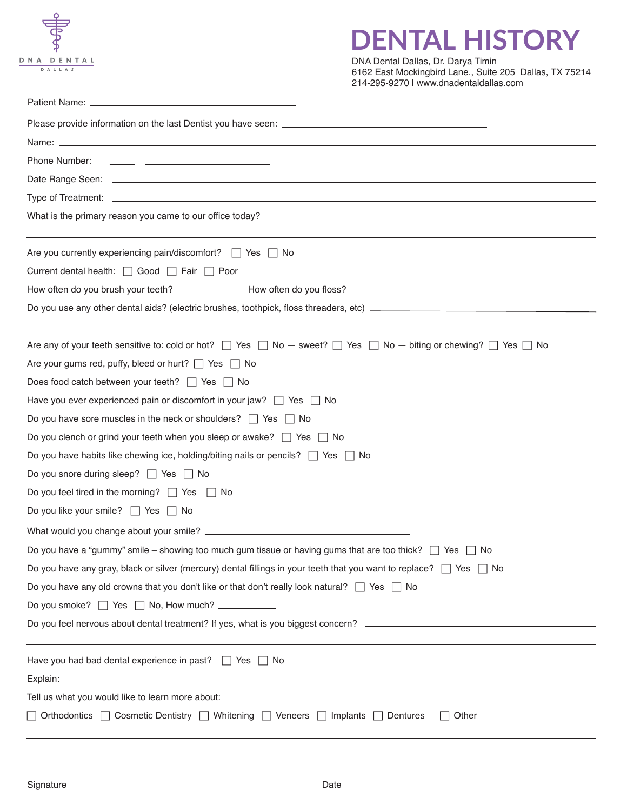

### **DENTAL HISTORY**

DNA Dental Dallas, Dr. Darya Timin 6162 East Mockingbird Lane., Suite 205 Dallas, TX 75214 214-295-9270 | www.dnadentaldallas.com

| Phone Number:<br><u> 1989 - John Stein, september 1989 - Stein Stein Stein Stein Stein Stein Stein Stein Stein Stein Stein Stein Stein Stein Stein Stein Stein Stein Stein Stein Stein Stein Stein Stein Stein Stein Stein Stein Stein Stein Stei</u> |
|-------------------------------------------------------------------------------------------------------------------------------------------------------------------------------------------------------------------------------------------------------|
|                                                                                                                                                                                                                                                       |
|                                                                                                                                                                                                                                                       |
|                                                                                                                                                                                                                                                       |
| Are you currently experiencing pain/discomfort? $\Box$ Yes $\Box$ No                                                                                                                                                                                  |
| Current dental health: □ Good □ Fair □ Poor                                                                                                                                                                                                           |
|                                                                                                                                                                                                                                                       |
|                                                                                                                                                                                                                                                       |
| Are any of your teeth sensitive to: cold or hot? $\Box$ Yes $\Box$ No $-$ sweet? $\Box$ Yes $\Box$ No $-$ biting or chewing? $\Box$ Yes $\Box$ No                                                                                                     |
| Are your gums red, puffy, bleed or hurt? $\Box$ Yes $\Box$ No                                                                                                                                                                                         |
| Does food catch between your teeth? $\Box$ Yes $\Box$ No                                                                                                                                                                                              |
| Have you ever experienced pain or discomfort in your jaw? $\Box$ Yes $\Box$ No                                                                                                                                                                        |
| Do you have sore muscles in the neck or shoulders? $\Box$ Yes $\Box$ No                                                                                                                                                                               |
| Do you clench or grind your teeth when you sleep or awake? $\Box$ Yes $\Box$ No                                                                                                                                                                       |
| Do you have habits like chewing ice, holding/biting nails or pencils? $\Box$ Yes $\Box$ No                                                                                                                                                            |
| Do you snore during sleep? $\Box$ Yes $\Box$ No                                                                                                                                                                                                       |
| Do you feel tired in the morning? $\Box$ Yes $\Box$ No                                                                                                                                                                                                |
| Do you like your smile? □ Yes □ No                                                                                                                                                                                                                    |
|                                                                                                                                                                                                                                                       |
| Do you have a "gummy" smile – showing too much gum tissue or having gums that are too thick? $\Box$ Yes $\Box$ No                                                                                                                                     |
| Do you have any gray, black or silver (mercury) dental fillings in your teeth that you want to replace? $\Box$ Yes $\Box$ No                                                                                                                          |
| Do you have any old crowns that you don't like or that don't really look natural? $\Box$ Yes $\Box$ No                                                                                                                                                |
| Do you smoke?   Yes   No, How much? ___________                                                                                                                                                                                                       |
|                                                                                                                                                                                                                                                       |
| Have you had bad dental experience in past? $\Box$ Yes $\Box$ No                                                                                                                                                                                      |
|                                                                                                                                                                                                                                                       |
| Tell us what you would like to learn more about:                                                                                                                                                                                                      |
| □ Orthodontics □ Cosmetic Dentistry □ Whitening □ Veneers □ Implants □ Dentures □ Other □ Dentures □ Other □                                                                                                                                          |
|                                                                                                                                                                                                                                                       |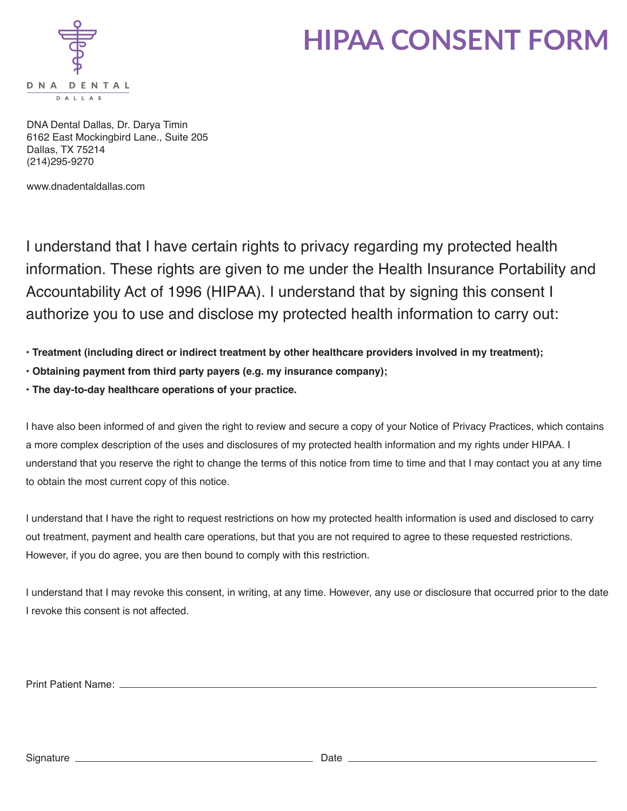

# **HIPAA CONSENT FORM**

DNA Dental Dallas, Dr. Darya Timin 6162 East Mockingbird Lane., Suite 205 Dallas, TX 75214 (214)295-9270

www.dnadentaldallas.com

I understand that I have certain rights to privacy regarding my protected health information. These rights are given to me under the Health Insurance Portability and Accountability Act of 1996 (HIPAA). I understand that by signing this consent I authorize you to use and disclose my protected health information to carry out:

- **Treatment (including direct or indirect treatment by other healthcare providers involved in my treatment);**
- **Obtaining payment from third party payers (e.g. my insurance company);**
- **The day-to-day healthcare operations of your practice.**

I have also been informed of and given the right to review and secure a copy of your Notice of Privacy Practices, which contains a more complex description of the uses and disclosures of my protected health information and my rights under HIPAA. I understand that you reserve the right to change the terms of this notice from time to time and that I may contact you at any time to obtain the most current copy of this notice.

I understand that I have the right to request restrictions on how my protected health information is used and disclosed to carry out treatment, payment and health care operations, but that you are not required to agree to these requested restrictions. However, if you do agree, you are then bound to comply with this restriction.

I understand that I may revoke this consent, in writing, at any time. However, any use or disclosure that occurred prior to the date I revoke this consent is not affected.

Print Patient Name:

Signature Date